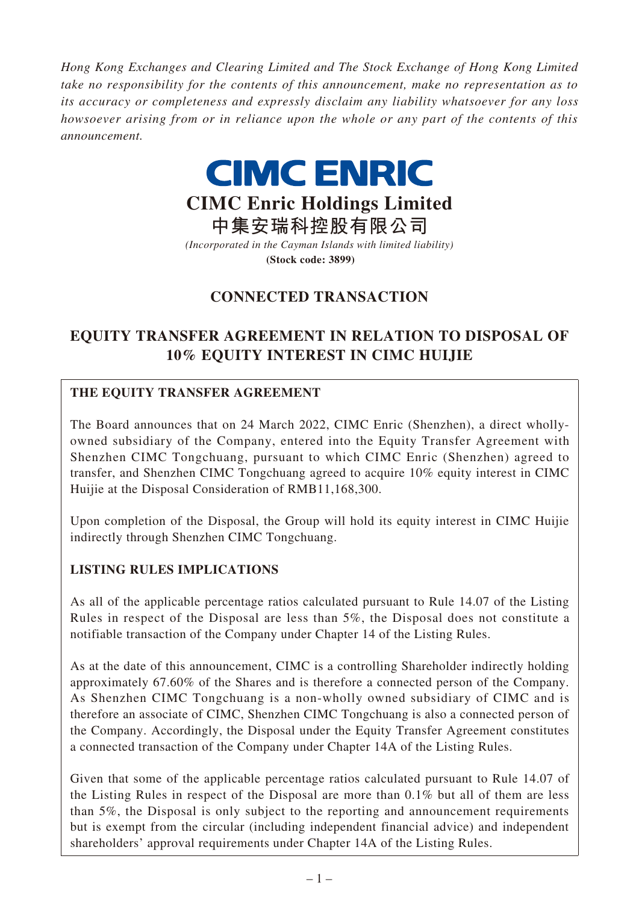*Hong Kong Exchanges and Clearing Limited and The Stock Exchange of Hong Kong Limited take no responsibility for the contents of this announcement, make no representation as to its accuracy or completeness and expressly disclaim any liability whatsoever for any loss howsoever arising from or in reliance upon the whole or any part of the contents of this announcement.*



# **CIMC Enric Holdings Limited**

**中集安瑞科控股有限公司** *(Incorporated in the Cayman Islands with limited liability)* **(Stock code: 3899)**

# **CONNECTED TRANSACTION**

# **EQUITY TRANSFER AGREEMENT IN RELATION TO DISPOSAL OF 10% EQUITY INTEREST IN CIMC HUIJIE**

## **THE EQUITY TRANSFER AGREEMENT**

The Board announces that on 24 March 2022, CIMC Enric (Shenzhen), a direct whollyowned subsidiary of the Company, entered into the Equity Transfer Agreement with Shenzhen CIMC Tongchuang, pursuant to which CIMC Enric (Shenzhen) agreed to transfer, and Shenzhen CIMC Tongchuang agreed to acquire 10% equity interest in CIMC Huijie at the Disposal Consideration of RMB11,168,300.

Upon completion of the Disposal, the Group will hold its equity interest in CIMC Huijie indirectly through Shenzhen CIMC Tongchuang.

## **LISTING RULES IMPLICATIONS**

As all of the applicable percentage ratios calculated pursuant to Rule 14.07 of the Listing Rules in respect of the Disposal are less than 5%, the Disposal does not constitute a notifiable transaction of the Company under Chapter 14 of the Listing Rules.

As at the date of this announcement, CIMC is a controlling Shareholder indirectly holding approximately 67.60% of the Shares and is therefore a connected person of the Company. As Shenzhen CIMC Tongchuang is a non-wholly owned subsidiary of CIMC and is therefore an associate of CIMC, Shenzhen CIMC Tongchuang is also a connected person of the Company. Accordingly, the Disposal under the Equity Transfer Agreement constitutes a connected transaction of the Company under Chapter 14A of the Listing Rules.

Given that some of the applicable percentage ratios calculated pursuant to Rule 14.07 of the Listing Rules in respect of the Disposal are more than 0.1% but all of them are less than 5%, the Disposal is only subject to the reporting and announcement requirements but is exempt from the circular (including independent financial advice) and independent shareholders' approval requirements under Chapter 14A of the Listing Rules.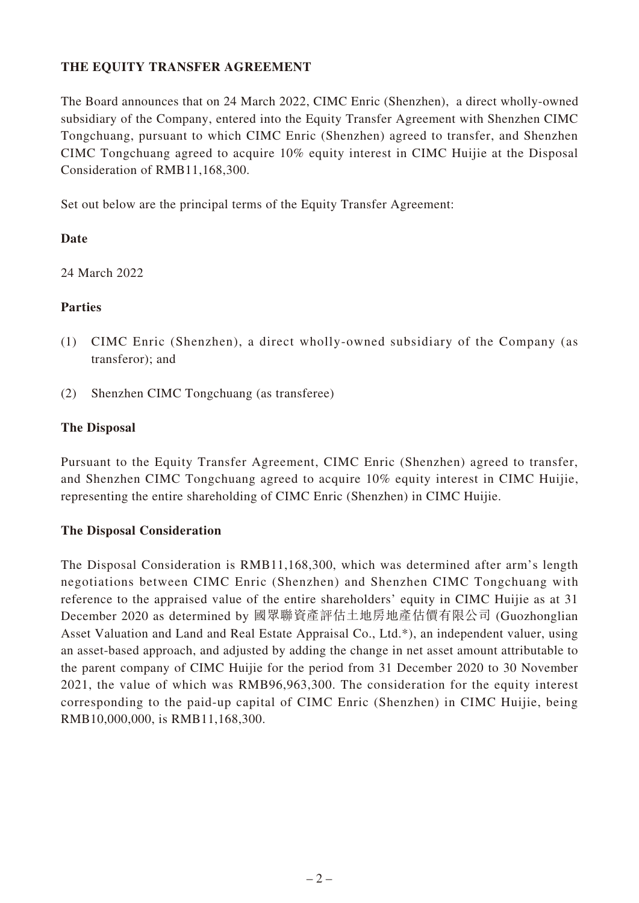#### **THE EQUITY TRANSFER AGREEMENT**

The Board announces that on 24 March 2022, CIMC Enric (Shenzhen), a direct wholly-owned subsidiary of the Company, entered into the Equity Transfer Agreement with Shenzhen CIMC Tongchuang, pursuant to which CIMC Enric (Shenzhen) agreed to transfer, and Shenzhen CIMC Tongchuang agreed to acquire 10% equity interest in CIMC Huijie at the Disposal Consideration of RMB11,168,300.

Set out below are the principal terms of the Equity Transfer Agreement:

#### **Date**

24 March 2022

#### **Parties**

- (1) CIMC Enric (Shenzhen), a direct wholly-owned subsidiary of the Company (as transferor); and
- (2) Shenzhen CIMC Tongchuang (as transferee)

#### **The Disposal**

Pursuant to the Equity Transfer Agreement, CIMC Enric (Shenzhen) agreed to transfer, and Shenzhen CIMC Tongchuang agreed to acquire 10% equity interest in CIMC Huijie, representing the entire shareholding of CIMC Enric (Shenzhen) in CIMC Huijie.

#### **The Disposal Consideration**

The Disposal Consideration is RMB11,168,300, which was determined after arm's length negotiations between CIMC Enric (Shenzhen) and Shenzhen CIMC Tongchuang with reference to the appraised value of the entire shareholders' equity in CIMC Huijie as at 31 December 2020 as determined by 國眾聯資產評估土地房地產估價有限公司 (Guozhonglian Asset Valuation and Land and Real Estate Appraisal Co., Ltd.\*), an independent valuer, using an asset-based approach, and adjusted by adding the change in net asset amount attributable to the parent company of CIMC Huijie for the period from 31 December 2020 to 30 November 2021, the value of which was RMB96,963,300. The consideration for the equity interest corresponding to the paid-up capital of CIMC Enric (Shenzhen) in CIMC Huijie, being RMB10,000,000, is RMB11,168,300.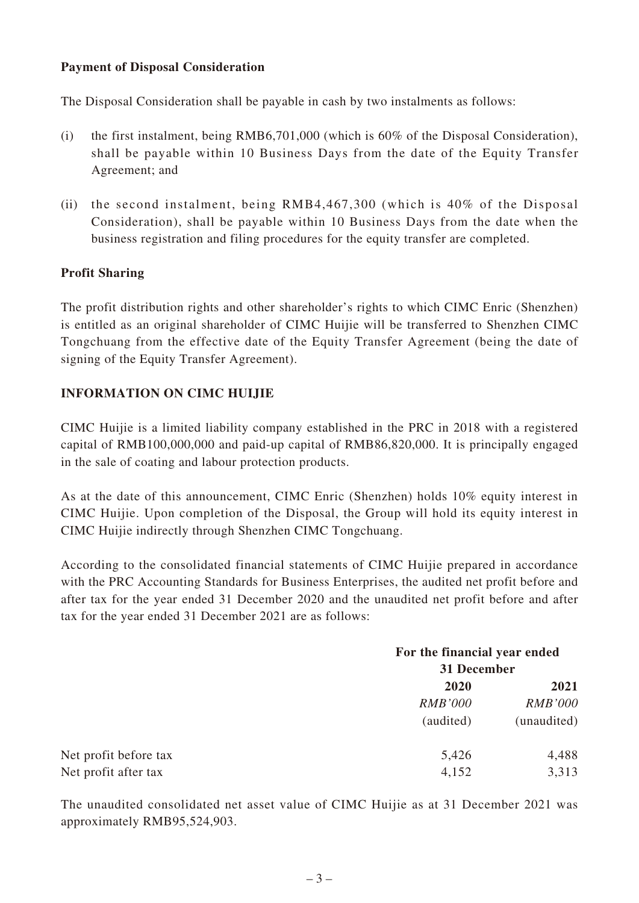#### **Payment of Disposal Consideration**

The Disposal Consideration shall be payable in cash by two instalments as follows:

- (i) the first instalment, being RMB6,701,000 (which is 60% of the Disposal Consideration), shall be payable within 10 Business Days from the date of the Equity Transfer Agreement; and
- (ii) the second instalment, being RMB4,467,300 (which is 40% of the Disposal Consideration), shall be payable within 10 Business Days from the date when the business registration and filing procedures for the equity transfer are completed.

#### **Profit Sharing**

The profit distribution rights and other shareholder's rights to which CIMC Enric (Shenzhen) is entitled as an original shareholder of CIMC Huijie will be transferred to Shenzhen CIMC Tongchuang from the effective date of the Equity Transfer Agreement (being the date of signing of the Equity Transfer Agreement).

#### **INFORMATION ON CIMC HUIJIE**

CIMC Huijie is a limited liability company established in the PRC in 2018 with a registered capital of RMB100,000,000 and paid-up capital of RMB86,820,000. It is principally engaged in the sale of coating and labour protection products.

As at the date of this announcement, CIMC Enric (Shenzhen) holds 10% equity interest in CIMC Huijie. Upon completion of the Disposal, the Group will hold its equity interest in CIMC Huijie indirectly through Shenzhen CIMC Tongchuang.

According to the consolidated financial statements of CIMC Huijie prepared in accordance with the PRC Accounting Standards for Business Enterprises, the audited net profit before and after tax for the year ended 31 December 2020 and the unaudited net profit before and after tax for the year ended 31 December 2021 are as follows:

|                       |                | For the financial year ended<br>31 December |  |
|-----------------------|----------------|---------------------------------------------|--|
|                       |                |                                             |  |
|                       | 2020           | 2021                                        |  |
|                       | <i>RMB'000</i> | <b>RMB'000</b>                              |  |
|                       | (audited)      | (unaudited)                                 |  |
| Net profit before tax | 5,426          | 4,488                                       |  |
| Net profit after tax  | 4,152          | 3,313                                       |  |

The unaudited consolidated net asset value of CIMC Huijie as at 31 December 2021 was approximately RMB95,524,903.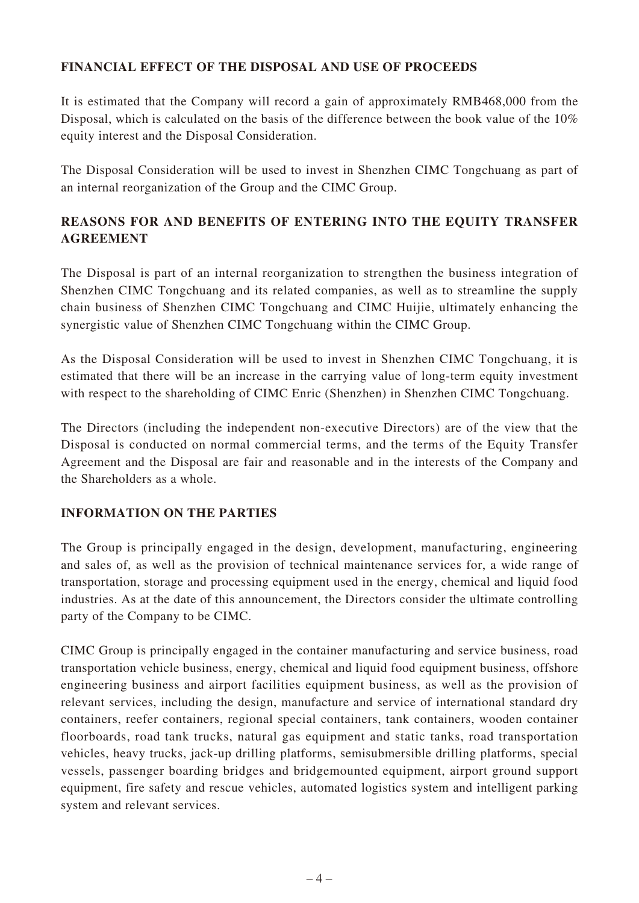#### **FINANCIAL EFFECT OF THE DISPOSAL AND USE OF PROCEEDS**

It is estimated that the Company will record a gain of approximately RMB468,000 from the Disposal, which is calculated on the basis of the difference between the book value of the 10% equity interest and the Disposal Consideration.

The Disposal Consideration will be used to invest in Shenzhen CIMC Tongchuang as part of an internal reorganization of the Group and the CIMC Group.

## **REASONS FOR AND BENEFITS OF ENTERING INTO THE EQUITY TRANSFER AGREEMENT**

The Disposal is part of an internal reorganization to strengthen the business integration of Shenzhen CIMC Tongchuang and its related companies, as well as to streamline the supply chain business of Shenzhen CIMC Tongchuang and CIMC Huijie, ultimately enhancing the synergistic value of Shenzhen CIMC Tongchuang within the CIMC Group.

As the Disposal Consideration will be used to invest in Shenzhen CIMC Tongchuang, it is estimated that there will be an increase in the carrying value of long-term equity investment with respect to the shareholding of CIMC Enric (Shenzhen) in Shenzhen CIMC Tongchuang.

The Directors (including the independent non-executive Directors) are of the view that the Disposal is conducted on normal commercial terms, and the terms of the Equity Transfer Agreement and the Disposal are fair and reasonable and in the interests of the Company and the Shareholders as a whole.

#### **INFORMATION ON THE PARTIES**

The Group is principally engaged in the design, development, manufacturing, engineering and sales of, as well as the provision of technical maintenance services for, a wide range of transportation, storage and processing equipment used in the energy, chemical and liquid food industries. As at the date of this announcement, the Directors consider the ultimate controlling party of the Company to be CIMC.

CIMC Group is principally engaged in the container manufacturing and service business, road transportation vehicle business, energy, chemical and liquid food equipment business, offshore engineering business and airport facilities equipment business, as well as the provision of relevant services, including the design, manufacture and service of international standard dry containers, reefer containers, regional special containers, tank containers, wooden container floorboards, road tank trucks, natural gas equipment and static tanks, road transportation vehicles, heavy trucks, jack-up drilling platforms, semisubmersible drilling platforms, special vessels, passenger boarding bridges and bridgemounted equipment, airport ground support equipment, fire safety and rescue vehicles, automated logistics system and intelligent parking system and relevant services.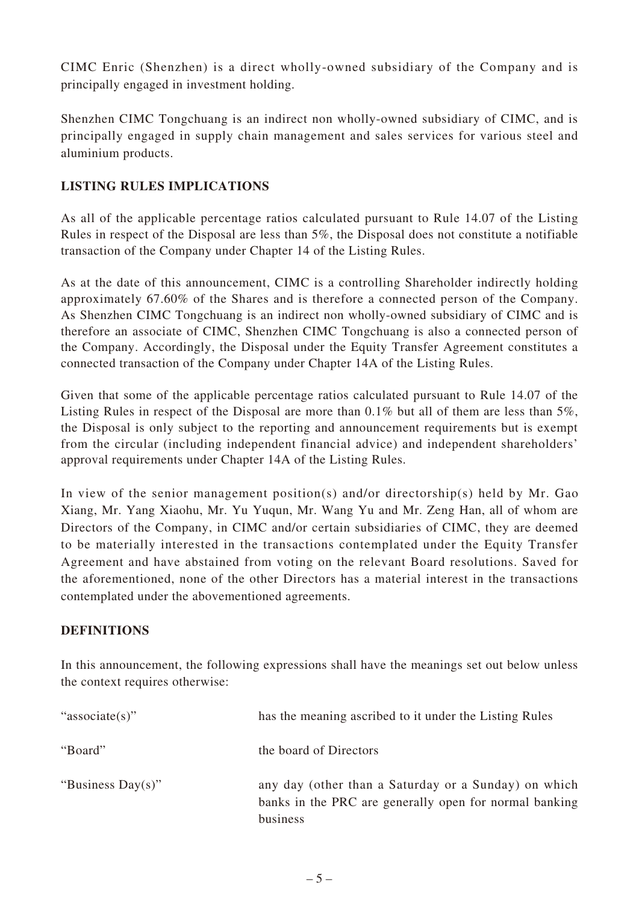CIMC Enric (Shenzhen) is a direct wholly-owned subsidiary of the Company and is principally engaged in investment holding.

Shenzhen CIMC Tongchuang is an indirect non wholly-owned subsidiary of CIMC, and is principally engaged in supply chain management and sales services for various steel and aluminium products.

#### **LISTING RULES IMPLICATIONS**

As all of the applicable percentage ratios calculated pursuant to Rule 14.07 of the Listing Rules in respect of the Disposal are less than 5%, the Disposal does not constitute a notifiable transaction of the Company under Chapter 14 of the Listing Rules.

As at the date of this announcement, CIMC is a controlling Shareholder indirectly holding approximately 67.60% of the Shares and is therefore a connected person of the Company. As Shenzhen CIMC Tongchuang is an indirect non wholly-owned subsidiary of CIMC and is therefore an associate of CIMC, Shenzhen CIMC Tongchuang is also a connected person of the Company. Accordingly, the Disposal under the Equity Transfer Agreement constitutes a connected transaction of the Company under Chapter 14A of the Listing Rules.

Given that some of the applicable percentage ratios calculated pursuant to Rule 14.07 of the Listing Rules in respect of the Disposal are more than 0.1% but all of them are less than 5%, the Disposal is only subject to the reporting and announcement requirements but is exempt from the circular (including independent financial advice) and independent shareholders' approval requirements under Chapter 14A of the Listing Rules.

In view of the senior management position(s) and/or directorship(s) held by Mr. Gao Xiang, Mr. Yang Xiaohu, Mr. Yu Yuqun, Mr. Wang Yu and Mr. Zeng Han, all of whom are Directors of the Company, in CIMC and/or certain subsidiaries of CIMC, they are deemed to be materially interested in the transactions contemplated under the Equity Transfer Agreement and have abstained from voting on the relevant Board resolutions. Saved for the aforementioned, none of the other Directors has a material interest in the transactions contemplated under the abovementioned agreements.

#### **DEFINITIONS**

In this announcement, the following expressions shall have the meanings set out below unless the context requires otherwise:

| "associate(s)"    | has the meaning ascribed to it under the Listing Rules                                                                     |
|-------------------|----------------------------------------------------------------------------------------------------------------------------|
| "Board"           | the board of Directors                                                                                                     |
| "Business Day(s)" | any day (other than a Saturday or a Sunday) on which<br>banks in the PRC are generally open for normal banking<br>business |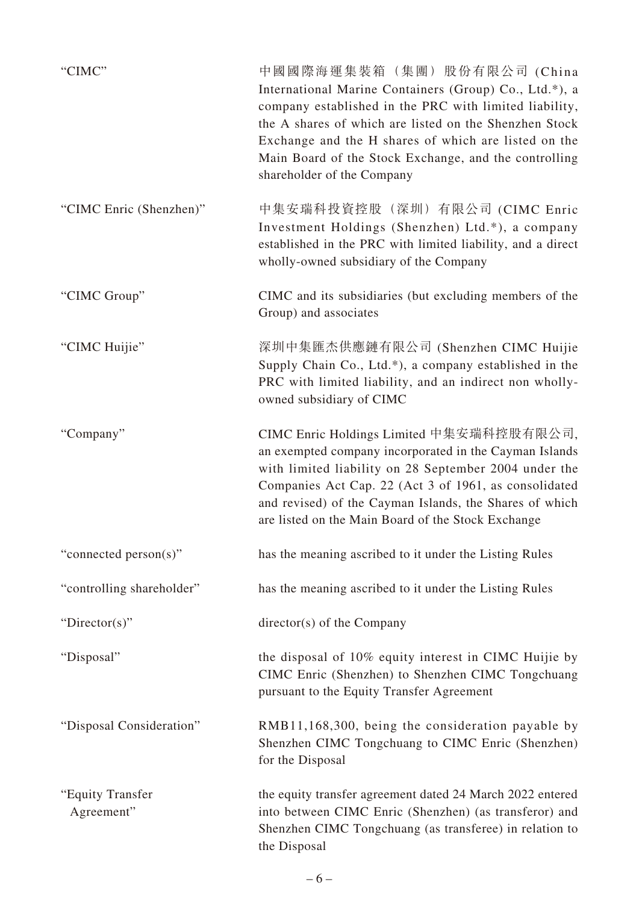| "CIMC"                         | 中國國際海運集裝箱(集團)股份有限公司 (China<br>International Marine Containers (Group) Co., Ltd.*), a<br>company established in the PRC with limited liability,<br>the A shares of which are listed on the Shenzhen Stock<br>Exchange and the H shares of which are listed on the<br>Main Board of the Stock Exchange, and the controlling<br>shareholder of the Company |
|--------------------------------|---------------------------------------------------------------------------------------------------------------------------------------------------------------------------------------------------------------------------------------------------------------------------------------------------------------------------------------------------------|
| "CIMC Enric (Shenzhen)"        | 中集安瑞科投資控股(深圳)有限公司 (CIMC Enric<br>Investment Holdings (Shenzhen) Ltd.*), a company<br>established in the PRC with limited liability, and a direct<br>wholly-owned subsidiary of the Company                                                                                                                                                              |
| "CIMC Group"                   | CIMC and its subsidiaries (but excluding members of the<br>Group) and associates                                                                                                                                                                                                                                                                        |
| "CIMC Huijie"                  | 深圳中集匯杰供應鏈有限公司 (Shenzhen CIMC Huijie<br>Supply Chain Co., Ltd.*), a company established in the<br>PRC with limited liability, and an indirect non wholly-<br>owned subsidiary of CIMC                                                                                                                                                                    |
| "Company"                      | CIMC Enric Holdings Limited 中集安瑞科控股有限公司,<br>an exempted company incorporated in the Cayman Islands<br>with limited liability on 28 September 2004 under the<br>Companies Act Cap. 22 (Act 3 of 1961, as consolidated<br>and revised) of the Cayman Islands, the Shares of which<br>are listed on the Main Board of the Stock Exchange                   |
| "connected person(s)"          | has the meaning ascribed to it under the Listing Rules                                                                                                                                                                                                                                                                                                  |
| "controlling shareholder"      | has the meaning ascribed to it under the Listing Rules                                                                                                                                                                                                                                                                                                  |
| "Director(s)"                  | director(s) of the Company                                                                                                                                                                                                                                                                                                                              |
| "Disposal"                     | the disposal of 10% equity interest in CIMC Huijie by<br>CIMC Enric (Shenzhen) to Shenzhen CIMC Tongchuang<br>pursuant to the Equity Transfer Agreement                                                                                                                                                                                                 |
| "Disposal Consideration"       | RMB11,168,300, being the consideration payable by<br>Shenzhen CIMC Tongchuang to CIMC Enric (Shenzhen)<br>for the Disposal                                                                                                                                                                                                                              |
| "Equity Transfer<br>Agreement" | the equity transfer agreement dated 24 March 2022 entered<br>into between CIMC Enric (Shenzhen) (as transferor) and<br>Shenzhen CIMC Tongchuang (as transferee) in relation to<br>the Disposal                                                                                                                                                          |